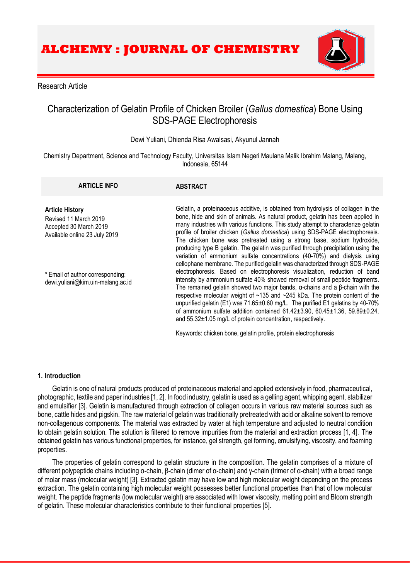

# Research Article

# Characterization of Gelatin Profile of Chicken Broiler (*Gallus domestica*) Bone Using SDS-PAGE Electrophoresis

# Dewi Yuliani, Dhienda Risa Awalsasi, Akyunul Jannah

Chemistry Department, Science and Technology Faculty, Universitas Islam Negeri Maulana Malik Ibrahim Malang, Malang, Indonesia, 65144

| <b>ARTICLE INFO</b>                                                                                        | <b>ABSTRACT</b>                                                                                                                                                                                                                                                                                                                                                                                                                                                                                                                                                                                                                                                                                                                                                                                                                                                                                                                                                                                                                                                                                                                                                                                                                                                                 |
|------------------------------------------------------------------------------------------------------------|---------------------------------------------------------------------------------------------------------------------------------------------------------------------------------------------------------------------------------------------------------------------------------------------------------------------------------------------------------------------------------------------------------------------------------------------------------------------------------------------------------------------------------------------------------------------------------------------------------------------------------------------------------------------------------------------------------------------------------------------------------------------------------------------------------------------------------------------------------------------------------------------------------------------------------------------------------------------------------------------------------------------------------------------------------------------------------------------------------------------------------------------------------------------------------------------------------------------------------------------------------------------------------|
| <b>Article History</b><br>Revised 11 March 2019<br>Accepted 30 March 2019<br>Available online 23 July 2019 | Gelatin, a proteinaceous additive, is obtained from hydrolysis of collagen in the<br>bone, hide and skin of animals. As natural product, gelatin has been applied in<br>many industries with various functions. This study attempt to characterize gelatin<br>profile of broiler chicken (Gallus domestica) using SDS-PAGE electrophoresis.<br>The chicken bone was pretreated using a strong base, sodium hydroxide,<br>producing type B gelatin. The gelatin was purified through precipitation using the<br>variation of ammonium sulfate concentrations (40-70%) and dialysis using<br>cellophane membrane. The purified gelatin was characterized through SDS-PAGE<br>electrophoresis. Based on electrophoresis visualization, reduction of band<br>intensity by ammonium sulfate 40% showed removal of small peptide fragments.<br>The remained gelatin showed two major bands, $\alpha$ -chains and a $\beta$ -chain with the<br>respective molecular weight of ~135 and ~245 kDa. The protein content of the<br>unpurified gelatin (E1) was 71.65±0.60 mg/L. The purified E1 gelatins by 40-70%<br>of ammonium sulfate addition contained $61.42 \pm 3.90$ , $60.45 \pm 1.36$ , $59.89 \pm 0.24$ ,<br>and $55.32 \pm 1.05$ mg/L of protein concentration, respectively. |
| * Email of author corresponding:<br>dewi.yuliani@kim.uin-malang.ac.id                                      |                                                                                                                                                                                                                                                                                                                                                                                                                                                                                                                                                                                                                                                                                                                                                                                                                                                                                                                                                                                                                                                                                                                                                                                                                                                                                 |
|                                                                                                            | Keywords: chicken bone, gelatin profile, protein electrophoresis                                                                                                                                                                                                                                                                                                                                                                                                                                                                                                                                                                                                                                                                                                                                                                                                                                                                                                                                                                                                                                                                                                                                                                                                                |

#### **1. Introduction**

Gelatin is one of natural products produced of proteinaceous material and applied extensively in food, pharmaceutical, photographic, textile and paper industries [1, 2]. In food industry, gelatin is used as a gelling agent, whipping agent, stabilizer and emulsifier [3]. Gelatin is manufactured through extraction of collagen occurs in various raw material sources such as bone, cattle hides and pigskin. The raw material of gelatin was traditionally pretreated with acid or alkaline solvent to remove non-collagenous components. The material was extracted by water at high temperature and adjusted to neutral condition to obtain gelatin solution. The solution is filtered to remove impurities from the material and extraction process [1, 4]. The obtained gelatin has various functional properties, for instance, gel strength, gel forming, emulsifying, viscosity, and foaming properties.

The properties of gelatin correspond to gelatin structure in the composition. The gelatin comprises of a mixture of different polypeptide chains including α-chain, β-chain (dimer of α-chain) and γ-chain (trimer of α-chain) with a broad range of molar mass (molecular weight) [3]. Extracted gelatin may have low and high molecular weight depending on the process extraction. The gelatin containing high molecular weight possesses better functional properties than that of low molecular weight. The peptide fragments (low molecular weight) are associated with lower viscosity, melting point and Bloom strength of gelatin. These molecular characteristics contribute to their functional properties [5].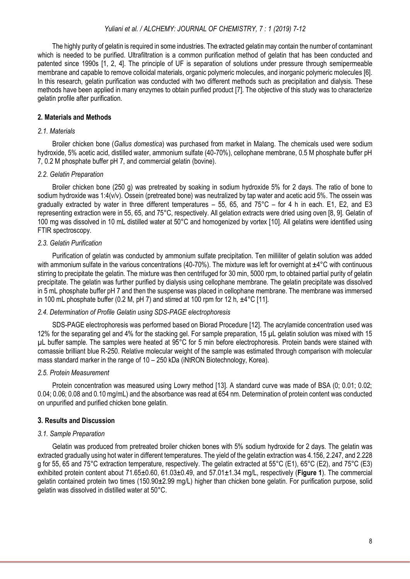# *Yuliani et al. / ALCHEMY: JOURNAL OF CHEMISTRY, 7 : 1 (2019) 7-12*

The highly purity of gelatin is required in some industries. The extracted gelatin may contain the number of contaminant which is needed to be purified. Ultrafiltration is a common purification method of gelatin that has been conducted and patented since 1990s [1, 2, 4]. The principle of UF is separation of solutions under pressure through semipermeable membrane and capable to remove colloidal materials, organic polymeric molecules, and inorganic polymeric molecules [6]. In this research, gelatin purification was conducted with two different methods such as precipitation and dialysis. These methods have been applied in many enzymes to obtain purified product [7]. The objective of this study was to characterize gelatin profile after purification.

# **2. Materials and Methods**

#### *2.1. Materials*

Broiler chicken bone (*Gallus domestica*) was purchased from market in Malang. The chemicals used were sodium hydroxide, 5% acetic acid, distilled water, ammonium sulfate (40-70%), cellophane membrane, 0.5 M phosphate buffer pH 7, 0.2 M phosphate buffer pH 7, and commercial gelatin (bovine).

#### *2.2. Gelatin Preparation*

Broiler chicken bone (250 g) was pretreated by soaking in sodium hydroxide 5% for 2 days. The ratio of bone to sodium hydroxide was 1:4(v/v). Ossein (pretreated bone) was neutralized by tap water and acetic acid 5%. The ossein was gradually extracted by water in three different temperatures  $-55$ , 65, and  $75^{\circ}$ C – for 4 h in each. E1, E2, and E3 representing extraction were in 55, 65, and 75°C, respectively. All gelation extracts were dried using oven [8, 9]. Gelatin of 100 mg was dissolved in 10 mL distilled water at 50°C and homogenized by vortex [10]. All gelatins were identified using FTIR spectroscopy.

#### *2.3. Gelatin Purification*

Purification of gelatin was conducted by ammonium sulfate precipitation. Ten milliliter of gelatin solution was added with ammonium sulfate in the various concentrations (40-70%). The mixture was left for overnight at ±4°C with continuous stirring to precipitate the gelatin. The mixture was then centrifuged for 30 min, 5000 rpm, to obtained partial purity of gelatin precipitate. The gelatin was further purified by dialysis using cellophane membrane. The gelatin precipitate was dissolved in 5 mL phosphate buffer pH 7 and then the suspense was placed in cellophane membrane. The membrane was immersed in 100 mL phosphate buffer (0.2 M, pH 7) and stirred at 100 rpm for 12 h,  $\pm 4^{\circ}$ C [11].

#### *2.4. Determination of Profile Gelatin using SDS-PAGE electrophoresis*

SDS-PAGE electrophoresis was performed based on Biorad Procedure [12]. The acrylamide concentration used was 12% for the separating gel and 4% for the stacking gel. For sample preparation, 15 µL gelatin solution was mixed with 15 µL buffer sample. The samples were heated at 95°C for 5 min before electrophoresis. Protein bands were stained with comassie brilliant blue R-250. Relative molecular weight of the sample was estimated through comparison with molecular mass standard marker in the range of 10 – 250 kDa (iNtRON Biotechnology, Korea).

#### *2.5. Protein Measurement*

Protein concentration was measured using Lowry method [13]. A standard curve was made of BSA (0; 0.01; 0.02; 0.04; 0.06; 0.08 and 0.10 mg/mL) and the absorbance was read at 654 nm. Determination of protein content was conducted on unpurified and purified chicken bone gelatin.

#### **3. Results and Discussion**

#### *3.1. Sample Preparation*

Gelatin was produced from pretreated broiler chicken bones with 5% sodium hydroxide for 2 days. The gelatin was extracted gradually using hot water in different temperatures. The yield of the gelatin extraction was 4.156, 2.247, and 2.228 g for 55, 65 and 75°C extraction temperature, respectively. The gelatin extracted at 55°C (E1), 65°C (E2), and 75°C (E3) exhibited protein content about 71.65±0.60, 61.03±0.49, and 57.01±1.34 mg/L, respectively (**Figure 1**). The commercial gelatin contained protein two times (150.90±2.99 mg/L) higher than chicken bone gelatin. For purification purpose, solid gelatin was dissolved in distilled water at 50°C.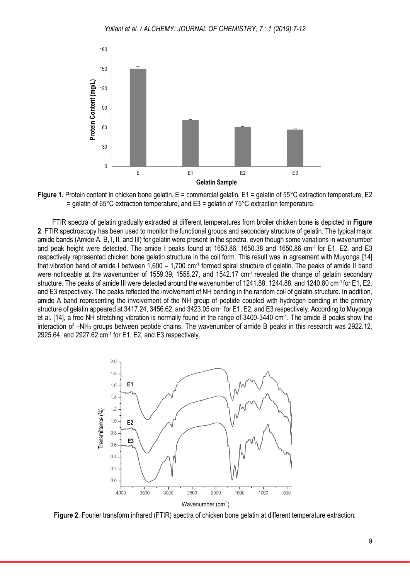

**Figure 1.** Protein content in chicken bone gelatin. E = commercial gelatin, E1 = gelatin of 55°C extraction temperature, E2  $=$  gelatin of 65°C extraction temperature, and E3 = gelatin of 75°C extraction temperature.

FTIR spectra of gelatin gradually extracted at different temperatures from broiler chicken bone is depicted in **Figure 2**. FTIR spectroscopy has been used to monitor the functional groups and secondary structure of gelatin. The typical major amide bands (Amide A, B, I, II, and III) for gelatin were present in the spectra, even though some variations in wavenumber and peak height were detected. The amide I peaks found at 1653.86, 1650.38 and 1650.86 cm-1 for E1, E2, and E3 respectively represented chicken bone gelatin structure in the coil form. This result was in agreement with Muyonga [14] that vibration band of amide I between 1,600 – 1,700 cm<sup>-1</sup> formed spiral structure of gelatin. The peaks of amide II band were noticeable at the wavenumber of 1559.39, 1558.27, and 1542.17 cm<sup>-1</sup> revealed the change of gelatin secondary structure. The peaks of amide III were detected around the wavenumber of 1241.88, 1244.88, and 1240.80 cm-1 for E1, E2, and E3 respectively. The peaks reflected the involvement of NH bending in the random coil of gelatin structure. In addition, amide A band representing the involvement of the NH group of peptide coupled with hydrogen bonding in the primary structure of gelatin appeared at 3417.24, 3456.62, and 3423.05 cm-1 for E1, E2, and E3 respectively. According to Muyonga et al. [14], a free NH stretching vibration is normally found in the range of 3400-3440 cm<sup>-1</sup>. The amide B peaks show the interaction of –NH<sup>3</sup> groups between peptide chains. The wavenumber of amide B peaks in this research was 2922.12, 2925.64, and 2927.62 cm-1 for E1, E2, and E3 respectively.



**Figure 2**. Fourier transform infrared (FTIR) spectra of chicken bone gelatin at different temperature extraction.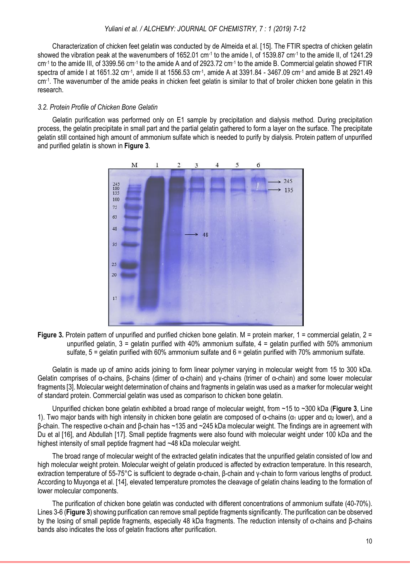#### *Yuliani et al. / ALCHEMY: JOURNAL OF CHEMISTRY, 7 : 1 (2019) 7-12*

Characterization of chicken feet gelatin was conducted by de Almeida et al. [15]. The FTIR spectra of chicken gelatin showed the vibration peak at the wavenumbers of 1652.01 cm<sup>-1</sup> to the amide I, of 1539.87 cm<sup>-1</sup> to the amide II, of 1241.29 cm<sup>-1</sup> to the amide III, of 3399.56 cm<sup>-1</sup> to the amide A and of 2923.72 cm<sup>-1</sup> to the amide B. Commercial gelatin showed FTIR spectra of amide I at 1651.32 cm<sup>-1</sup>, amide II at 1556.53 cm<sup>-1</sup>, amide A at 3391.84 - 3467.09 cm<sup>-1</sup> and amide B at 2921.49 cm-1 . The wavenumber of the amide peaks in chicken feet gelatin is similar to that of broiler chicken bone gelatin in this research.

#### *3.2. Protein Profile of Chicken Bone Gelatin*

Gelatin purification was performed only on E1 sample by precipitation and dialysis method. During precipitation process, the gelatin precipitate in small part and the partial gelatin gathered to form a layer on the surface. The precipitate gelatin still contained high amount of ammonium sulfate which is needed to purify by dialysis. Protein pattern of unpurified and purified gelatin is shown in **Figure 3**.



**Figure 3.** Protein pattern of unpurified and purified chicken bone gelatin. M = protein marker, 1 = commercial gelatin, 2 = unpurified gelatin,  $3 =$  gelatin purified with 40% ammonium sulfate,  $4 =$  gelatin purified with 50% ammonium sulfate, 5 = gelatin purified with 60% ammonium sulfate and 6 = gelatin purified with 70% ammonium sulfate.

Gelatin is made up of amino acids joining to form linear polymer varying in molecular weight from 15 to 300 kDa. Gelatin comprises of α-chains, β-chains (dimer of α-chain) and γ-chains (trimer of α-chain) and some lower molecular fragments [3]. Molecular weight determination of chains and fragments in gelatin was used as a marker for molecular weight of standard protein. Commercial gelatin was used as comparison to chicken bone gelatin.

Unpurified chicken bone gelatin exhibited a broad range of molecular weight, from ~15 to ~300 kDa (**Figure 3**, Line 1). Two major bands with high intensity in chicken bone gelatin are composed of α-chains ( $α_1$  upper and  $α_2$  lower), and a β-chain. The respective α-chain and β-chain has ~135 and ~245 kDa molecular weight. The findings are in agreement with Du et al [16], and Abdullah [17]. Small peptide fragments were also found with molecular weight under 100 kDa and the highest intensity of small peptide fragment had ~48 kDa molecular weight.

The broad range of molecular weight of the extracted gelatin indicates that the unpurified gelatin consisted of low and high molecular weight protein. Molecular weight of gelatin produced is affected by extraction temperature. In this research, extraction temperature of 55-75°C is sufficient to degrade α-chain, β-chain and γ-chain to form various lengths of product. According to Muyonga et al. [14], elevated temperature promotes the cleavage of gelatin chains leading to the formation of lower molecular components.

The purification of chicken bone gelatin was conducted with different concentrations of ammonium sulfate (40-70%). Lines 3-6 (**Figure 3**) showing purification can remove small peptide fragments significantly. The purification can be observed by the losing of small peptide fragments, especially 48 kDa fragments. The reduction intensity of α-chains and β-chains bands also indicates the loss of gelatin fractions after purification.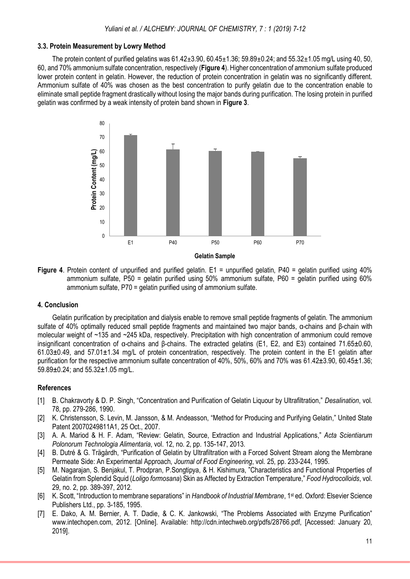# **3.3. Protein Measurement by Lowry Method**

The protein content of purified gelatins was  $61.42 \pm 3.90$ ,  $60.45 \pm 1.36$ ;  $59.89 \pm 0.24$ ; and  $55.32 \pm 1.05$  mg/L using 40, 50, 60, and 70% ammonium sulfate concentration, respectively (**Figure 4**). Higher concentration of ammonium sulfate produced lower protein content in gelatin. However, the reduction of protein concentration in gelatin was no significantly different. Ammonium sulfate of 40% was chosen as the best concentration to purify gelatin due to the concentration enable to eliminate small peptide fragment drastically without losing the major bands during purification. The losing protein in purified gelatin was confirmed by a weak intensity of protein band shown in **Figure 3**.



**Figure 4**. Protein content of unpurified and purified gelatin. E1 = unpurified gelatin, P40 = gelatin purified using 40% ammonium sulfate, P50 = gelatin purified using 50% ammonium sulfate, P60 = gelatin purified using 60% ammonium sulfate, P70 = gelatin purified using of ammonium sulfate.

#### **4. Conclusion**

Gelatin purification by precipitation and dialysis enable to remove small peptide fragments of gelatin. The ammonium sulfate of 40% optimally reduced small peptide fragments and maintained two major bands, α-chains and β-chain with molecular weight of ~135 and ~245 kDa, respectively. Precipitation with high concentration of ammonium could remove insignificant concentration of α-chains and β-chains. The extracted gelatins (E1, E2, and E3) contained 71.65±0.60, 61.03±0.49, and 57.01±1.34 mg/L of protein concentration, respectively. The protein content in the E1 gelatin after purification for the respective ammonium sulfate concentration of 40%, 50%, 60% and 70% was 61.42±3.90, 60.45±1.36; 59.89±0.24; and 55.32±1.05 mg/L.

# **References**

- [1] B. Chakravorty & D. P. Singh, "Concentration and Purification of Gelatin Liquour by Ultrafiltration," *Desalination*, vol. 78, pp. 279-286, 1990.
- [2] K. Christensson, S. Levin, M. Jansson, & M. Andeasson, "Method for Producing and Purifying Gelatin," United State Patent 20070249811A1, 25 Oct., 2007.
- [3] A. A. Mariod & H. F. Adam, "Review: Gelatin, Source, Extraction and Industrial Applications," *Acta Scientiarum Polonorum Technologia Alimentaria*, vol. 12, no. 2, pp. 135-147, 2013.
- [4] B. Dutré & G. Trägårdh, "Purification of Gelatin by Ultrafiltration with a Forced Solvent Stream along the Membrane Permeate Side: An Experimental Approach, *Journal of Food Engineering*, vol. 25, pp. 233-244, 1995.
- [5] M. Nagarajan, S. Benjakul, T. Prodpran, P.Songtipya, & H. Kishimura, "Characteristics and Functional Properties of Gelatin from Splendid Squid (*Loligo formosana*) Skin as Affected by Extraction Temperature," *Food Hydrocolloids*, vol. 29, no. 2, pp. 389-397, 2012.
- [6] K. Scott, "Introduction to membrane separations" in Handbook of Industrial Membrane, 1<sup>st</sup> ed. Oxford: Elsevier Science Publishers Ltd., pp. 3-185, 1995.
- [7] E. Dako, A. M. Bernier, A. T. Dadie, & C. K. Jankowski, "The Problems Associated with Enzyme Purification" [www.intechopen.com,](http://www.intechopen.com/) 2012. [Online]. Available: [http://cdn.intechweb.org/pdfs/28766.pdf,](http://cdn.intechweb.org/pdfs/28766.pdf) [Accessed: January 20, 2019].